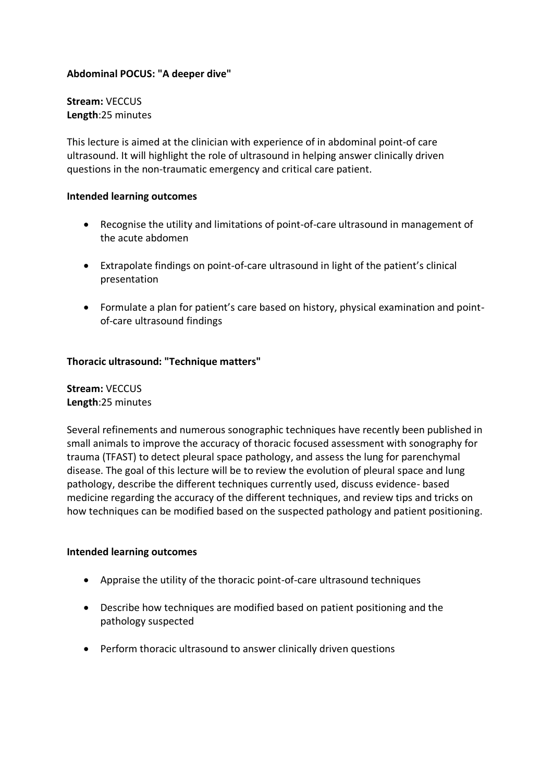## **Abdominal POCUS: "A deeper dive"**

**Stream:** VECCUS **Length**:25 minutes

This lecture is aimed at the clinician with experience of in abdominal point-of care ultrasound. It will highlight the role of ultrasound in helping answer clinically driven questions in the non-traumatic emergency and critical care patient.

#### **Intended learning outcomes**

- Recognise the utility and limitations of point-of-care ultrasound in management of the acute abdomen
- Extrapolate findings on point-of-care ultrasound in light of the patient's clinical presentation
- Formulate a plan for patient's care based on history, physical examination and pointof-care ultrasound findings

### **Thoracic ultrasound: "Technique matters"**

**Stream:** VECCUS **Length**:25 minutes

Several refinements and numerous sonographic techniques have recently been published in small animals to improve the accuracy of thoracic focused assessment with sonography for trauma (TFAST) to detect pleural space pathology, and assess the lung for parenchymal disease. The goal of this lecture will be to review the evolution of pleural space and lung pathology, describe the different techniques currently used, discuss evidence- based medicine regarding the accuracy of the different techniques, and review tips and tricks on how techniques can be modified based on the suspected pathology and patient positioning.

#### **Intended learning outcomes**

- Appraise the utility of the thoracic point-of-care ultrasound techniques
- Describe how techniques are modified based on patient positioning and the pathology suspected
- Perform thoracic ultrasound to answer clinically driven questions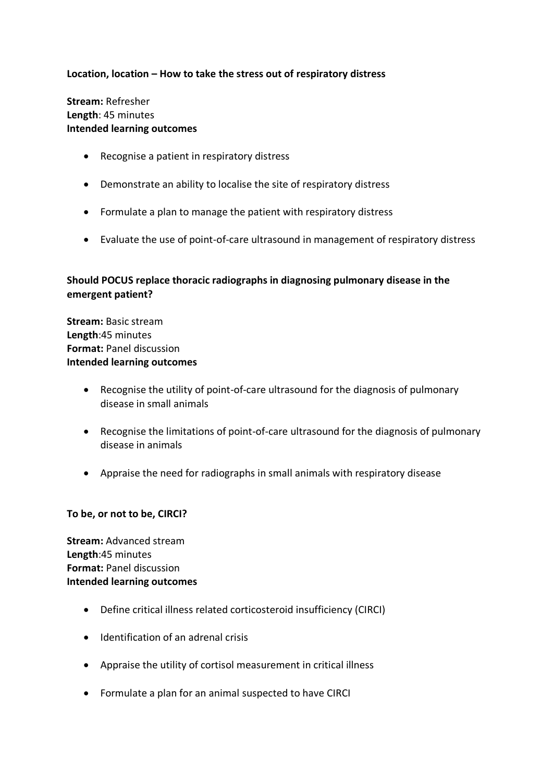## **Location, location – How to take the stress out of respiratory distress**

**Stream:** Refresher **Length**: 45 minutes **Intended learning outcomes**

- Recognise a patient in respiratory distress
- Demonstrate an ability to localise the site of respiratory distress
- Formulate a plan to manage the patient with respiratory distress
- Evaluate the use of point-of-care ultrasound in management of respiratory distress

# **Should POCUS replace thoracic radiographs in diagnosing pulmonary disease in the emergent patient?**

**Stream:** Basic stream **Length**:45 minutes **Format:** Panel discussion **Intended learning outcomes**

- Recognise the utility of point-of-care ultrasound for the diagnosis of pulmonary disease in small animals
- Recognise the limitations of point-of-care ultrasound for the diagnosis of pulmonary disease in animals
- Appraise the need for radiographs in small animals with respiratory disease

#### **To be, or not to be, CIRCI?**

**Stream:** Advanced stream **Length**:45 minutes **Format:** Panel discussion **Intended learning outcomes**

- Define critical illness related corticosteroid insufficiency (CIRCI)
- Identification of an adrenal crisis
- Appraise the utility of cortisol measurement in critical illness
- Formulate a plan for an animal suspected to have CIRCI